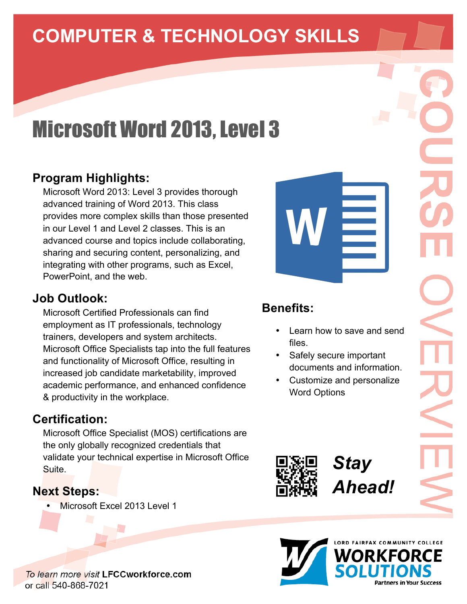# **COMPUTER & TECHNOLOGY SKILLS**

# **Microsoft Word 2013, Level 3**

### **Program Highlights:**

Microsoft Word 2013: Level 3 provides thorough advanced training of Word 2013. This class provides more complex skills than those presented in our Level 1 and Level 2 classes. This is an advanced course and topics include collaborating, sharing and securing content, personalizing, and integrating with other programs, such as Excel, PowerPoint, and the web.

#### **Job Outlook:**

Microsoft Certified Professionals can find employment as IT professionals, technology trainers, developers and system architects. Microsoft Office Specialists tap into the full features and functionality of Microsoft Office, resulting in increased job candidate marketability, improved academic performance, and enhanced confidence & productivity in the workplace.

#### **Certification:**

Microsoft Office Specialist (MOS) certifications are the only globally recognized credentials that validate your technical expertise in Microsoft Office Suite.

#### **Next Steps:**

Microsoft Excel 2013 Level 1



• Customize and personalize Word Options



*Stay Ahead!*





To learn more visit LFCCworkforce.com or call 540-868-7021